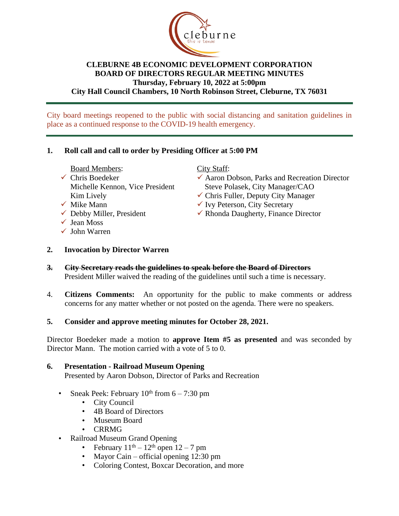

#### **CLEBURNE 4B ECONOMIC DEVELOPMENT CORPORATION BOARD OF DIRECTORS REGULAR MEETING MINUTES Thursday, February 10, 2022 at 5:00pm City Hall Council Chambers, 10 North Robinson Street, Cleburne, TX 76031**

City board meetings reopened to the public with social distancing and sanitation guidelines in place as a continued response to the COVID-19 health emergency.

## **1. Roll call and call to order by Presiding Officer at 5:00 PM**

- Board Members:
- $\checkmark$  Chris Boedeker Michelle Kennon, Vice President Kim Lively
- $\checkmark$  Mike Mann
- $\checkmark$  Debby Miller, President
- $\checkmark$  Jean Moss
- $\checkmark$  John Warren

#### City Staff:

- $\checkmark$  Aaron Dobson, Parks and Recreation Director Steve Polasek, City Manager/CAO
- $\checkmark$  Chris Fuller, Deputy City Manager
- $\checkmark$  Ivy Peterson, City Secretary
- $\checkmark$  Rhonda Daugherty, Finance Director
- **2. Invocation by Director Warren**
- **3. City Secretary reads the guidelines to speak before the Board of Directors** President Miller waived the reading of the guidelines until such a time is necessary.
- 4. **Citizens Comments:** An opportunity for the public to make comments or address concerns for any matter whether or not posted on the agenda. There were no speakers.
- **5. Consider and approve meeting minutes for October 28, 2021.**

Director Boedeker made a motion to **approve Item #5 as presented** and was seconded by Director Mann. The motion carried with a vote of 5 to 0.

# **6. Presentation - Railroad Museum Opening**

Presented by Aaron Dobson, Director of Parks and Recreation

- Sneak Peek: February  $10<sup>th</sup>$  from  $6 7:30$  pm
	- City Council
	- 4B Board of Directors
	- Museum Board
	- CRRMG
- Railroad Museum Grand Opening
	- February  $11<sup>th</sup> 12<sup>th</sup>$  open  $12 7$  pm
	- Mayor Cain official opening 12:30 pm
	- Coloring Contest, Boxcar Decoration, and more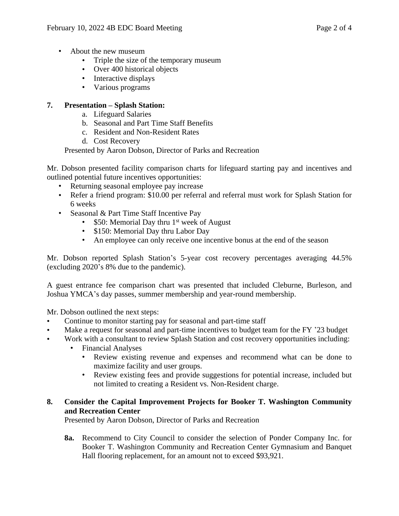- About the new museum
	- Triple the size of the temporary museum
	- Over 400 historical objects
	- Interactive displays
	- Various programs

### **7. Presentation – Splash Station:**

- a. Lifeguard Salaries
- b. Seasonal and Part Time Staff Benefits
- c. Resident and Non-Resident Rates
- d. Cost Recovery

Presented by Aaron Dobson, Director of Parks and Recreation

Mr. Dobson presented facility comparison charts for lifeguard starting pay and incentives and outlined potential future incentives opportunities:

- Returning seasonal employee pay increase
- Refer a friend program: \$10.00 per referral and referral must work for Splash Station for 6 weeks
- Seasonal & Part Time Staff Incentive Pay
	- $$50:$  Memorial Day thru 1<sup>st</sup> week of August
	- \$150: Memorial Day thru Labor Day
	- An employee can only receive one incentive bonus at the end of the season

Mr. Dobson reported Splash Station's 5-year cost recovery percentages averaging 44.5% (excluding 2020's 8% due to the pandemic).

A guest entrance fee comparison chart was presented that included Cleburne, Burleson, and Joshua YMCA's day passes, summer membership and year-round membership.

Mr. Dobson outlined the next steps:

- Continue to monitor starting pay for seasonal and part-time staff
- Make a request for seasonal and part-time incentives to budget team for the FY '23 budget
- Work with a consultant to review Splash Station and cost recovery opportunities including:
	- Financial Analyses
		- Review existing revenue and expenses and recommend what can be done to maximize facility and user groups.
		- Review existing fees and provide suggestions for potential increase, included but not limited to creating a Resident vs. Non-Resident charge.

#### **8. Consider the Capital Improvement Projects for Booker T. Washington Community and Recreation Center**

Presented by Aaron Dobson, Director of Parks and Recreation

**8a.** Recommend to City Council to consider the selection of Ponder Company Inc. for Booker T. Washington Community and Recreation Center Gymnasium and Banquet Hall flooring replacement, for an amount not to exceed \$93,921.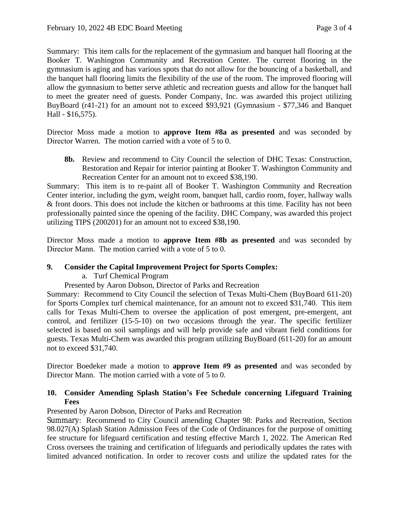Summary: This item calls for the replacement of the gymnasium and banquet hall flooring at the Booker T. Washington Community and Recreation Center. The current flooring in the gymnasium is aging and has various spots that do not allow for the bouncing of a basketball, and the banquet hall flooring limits the flexibility of the use of the room. The improved flooring will allow the gymnasium to better serve athletic and recreation guests and allow for the banquet hall to meet the greater need of guests. Ponder Company, Inc. was awarded this project utilizing BuyBoard (r41-21) for an amount not to exceed \$93,921 (Gymnasium - \$77,346 and Banquet Hall - \$16,575).

Director Moss made a motion to **approve Item #8a as presented** and was seconded by Director Warren. The motion carried with a vote of 5 to 0.

**8b.** Review and recommend to City Council the selection of DHC Texas: Construction, Restoration and Repair for interior painting at Booker T. Washington Community and Recreation Center for an amount not to exceed \$38,190.

Summary: This item is to re-paint all of Booker T. Washington Community and Recreation Center interior, including the gym, weight room, banquet hall, cardio room, foyer, hallway walls & front doors. This does not include the kitchen or bathrooms at this time. Facility has not been professionally painted since the opening of the facility. DHC Company, was awarded this project utilizing TIPS (200201) for an amount not to exceed \$38,190.

Director Moss made a motion to **approve Item #8b as presented** and was seconded by Director Mann. The motion carried with a vote of 5 to 0.

#### **9. Consider the Capital Improvement Project for Sports Complex:**

#### a. Turf Chemical Program

Presented by Aaron Dobson, Director of Parks and Recreation

Summary: Recommend to City Council the selection of Texas Multi-Chem (BuyBoard 611-20) for Sports Complex turf chemical maintenance, for an amount not to exceed \$31,740. This item calls for Texas Multi-Chem to oversee the application of post emergent, pre-emergent, ant control, and fertilizer (15-5-10) on two occasions through the year. The specific fertilizer selected is based on soil samplings and will help provide safe and vibrant field conditions for guests. Texas Multi-Chem was awarded this program utilizing BuyBoard (611-20) for an amount not to exceed \$31,740.

Director Boedeker made a motion to **approve Item #9 as presented** and was seconded by Director Mann. The motion carried with a vote of 5 to 0.

## **10. Consider Amending Splash Station's Fee Schedule concerning Lifeguard Training Fees**

Presented by Aaron Dobson, Director of Parks and Recreation

Summary: Recommend to City Council amending Chapter 98: Parks and Recreation, Section 98.027(A) Splash Station Admission Fees of the Code of Ordinances for the purpose of omitting fee structure for lifeguard certification and testing effective March 1, 2022. The American Red Cross oversees the training and certification of lifeguards and periodically updates the rates with limited advanced notification. In order to recover costs and utilize the updated rates for the